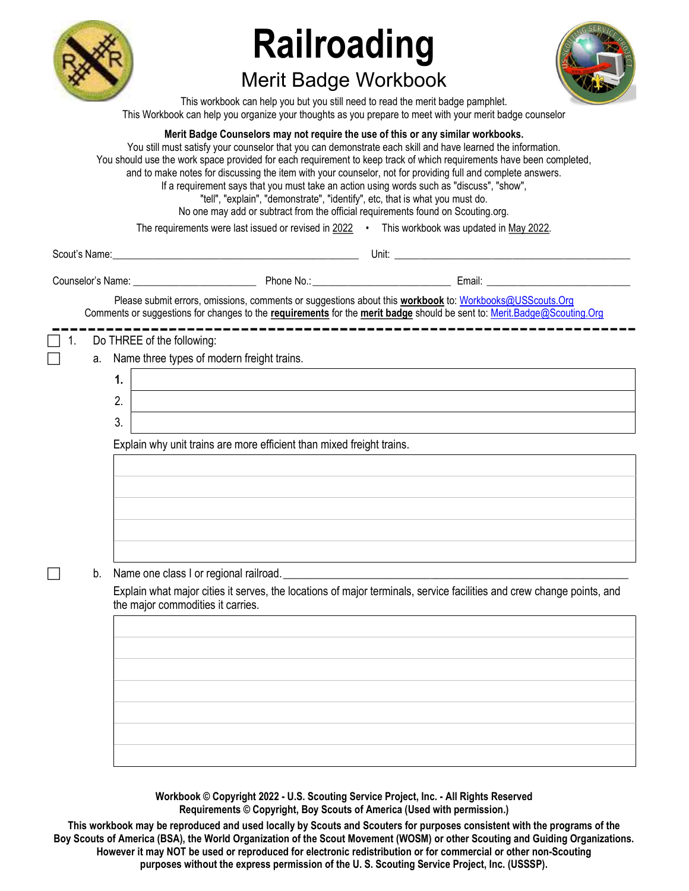

# Railroading

## Merit Badge Workbook



This workbook can help you but you still need to read the merit badge pamphlet. This Workbook can help you organize your thoughts as you prepare to meet with your merit badge counselor

|    |    | Merit Badge Counselors may not require the use of this or any similar workbooks.<br>You still must satisfy your counselor that you can demonstrate each skill and have learned the information.<br>You should use the work space provided for each requirement to keep track of which requirements have been completed,<br>and to make notes for discussing the item with your counselor, not for providing full and complete answers.<br>If a requirement says that you must take an action using words such as "discuss", "show",<br>"tell", "explain", "demonstrate", "identify", etc, that is what you must do.<br>No one may add or subtract from the official requirements found on Scouting.org. |
|----|----|---------------------------------------------------------------------------------------------------------------------------------------------------------------------------------------------------------------------------------------------------------------------------------------------------------------------------------------------------------------------------------------------------------------------------------------------------------------------------------------------------------------------------------------------------------------------------------------------------------------------------------------------------------------------------------------------------------|
|    |    | The requirements were last issued or revised in 2022 . This workbook was updated in May 2022.                                                                                                                                                                                                                                                                                                                                                                                                                                                                                                                                                                                                           |
|    |    |                                                                                                                                                                                                                                                                                                                                                                                                                                                                                                                                                                                                                                                                                                         |
|    |    | Counselor's Name: Counselor's Name: Counselor's Name: Counselor's Name: Counselor's Name:                                                                                                                                                                                                                                                                                                                                                                                                                                                                                                                                                                                                               |
|    |    | Please submit errors, omissions, comments or suggestions about this workbook to: Workbooks@USScouts.Org<br>Comments or suggestions for changes to the requirements for the merit badge should be sent to: Merit.Badge@Scouting.Org                                                                                                                                                                                                                                                                                                                                                                                                                                                                      |
| 1. |    | Do THREE of the following:                                                                                                                                                                                                                                                                                                                                                                                                                                                                                                                                                                                                                                                                              |
|    | a. | Name three types of modern freight trains.                                                                                                                                                                                                                                                                                                                                                                                                                                                                                                                                                                                                                                                              |
|    |    | 1.                                                                                                                                                                                                                                                                                                                                                                                                                                                                                                                                                                                                                                                                                                      |
|    |    | 2.<br><u> 1989 - Andrea Barbara, amerikan personal dan personal dan personal dan personal dan personal dan personal da</u>                                                                                                                                                                                                                                                                                                                                                                                                                                                                                                                                                                              |
|    |    | 3.                                                                                                                                                                                                                                                                                                                                                                                                                                                                                                                                                                                                                                                                                                      |
|    |    | Explain why unit trains are more efficient than mixed freight trains.                                                                                                                                                                                                                                                                                                                                                                                                                                                                                                                                                                                                                                   |
|    |    |                                                                                                                                                                                                                                                                                                                                                                                                                                                                                                                                                                                                                                                                                                         |
|    |    |                                                                                                                                                                                                                                                                                                                                                                                                                                                                                                                                                                                                                                                                                                         |
|    |    |                                                                                                                                                                                                                                                                                                                                                                                                                                                                                                                                                                                                                                                                                                         |
|    |    |                                                                                                                                                                                                                                                                                                                                                                                                                                                                                                                                                                                                                                                                                                         |
|    |    |                                                                                                                                                                                                                                                                                                                                                                                                                                                                                                                                                                                                                                                                                                         |
|    | b. | Name one class I or regional railroad.<br><u> 1989 - Jan Samuel Barbara, margaret eta idazlea (h. 1989).</u>                                                                                                                                                                                                                                                                                                                                                                                                                                                                                                                                                                                            |
|    |    | Explain what major cities it serves, the locations of major terminals, service facilities and crew change points, and<br>the major commodities it carries.                                                                                                                                                                                                                                                                                                                                                                                                                                                                                                                                              |
|    |    |                                                                                                                                                                                                                                                                                                                                                                                                                                                                                                                                                                                                                                                                                                         |
|    |    |                                                                                                                                                                                                                                                                                                                                                                                                                                                                                                                                                                                                                                                                                                         |
|    |    |                                                                                                                                                                                                                                                                                                                                                                                                                                                                                                                                                                                                                                                                                                         |
|    |    |                                                                                                                                                                                                                                                                                                                                                                                                                                                                                                                                                                                                                                                                                                         |
|    |    |                                                                                                                                                                                                                                                                                                                                                                                                                                                                                                                                                                                                                                                                                                         |
|    |    |                                                                                                                                                                                                                                                                                                                                                                                                                                                                                                                                                                                                                                                                                                         |
|    |    |                                                                                                                                                                                                                                                                                                                                                                                                                                                                                                                                                                                                                                                                                                         |
|    |    |                                                                                                                                                                                                                                                                                                                                                                                                                                                                                                                                                                                                                                                                                                         |

Workbook © Copyright 2022 - U.S. Scouting Service Project, Inc. - All Rights Reserved Requirements © Copyright, Boy Scouts of America (Used with permission.)

This workbook may be reproduced and used locally by Scouts and Scouters for purposes consistent with the programs of the Boy Scouts of America (BSA), the World Organization of the Scout Movement (WOSM) or other Scouting and Guiding Organizations. However it may NOT be used or reproduced for electronic redistribution or for commercial or other non-Scouting purposes without the express permission of the U. S. Scouting Service Project, Inc. (USSSP).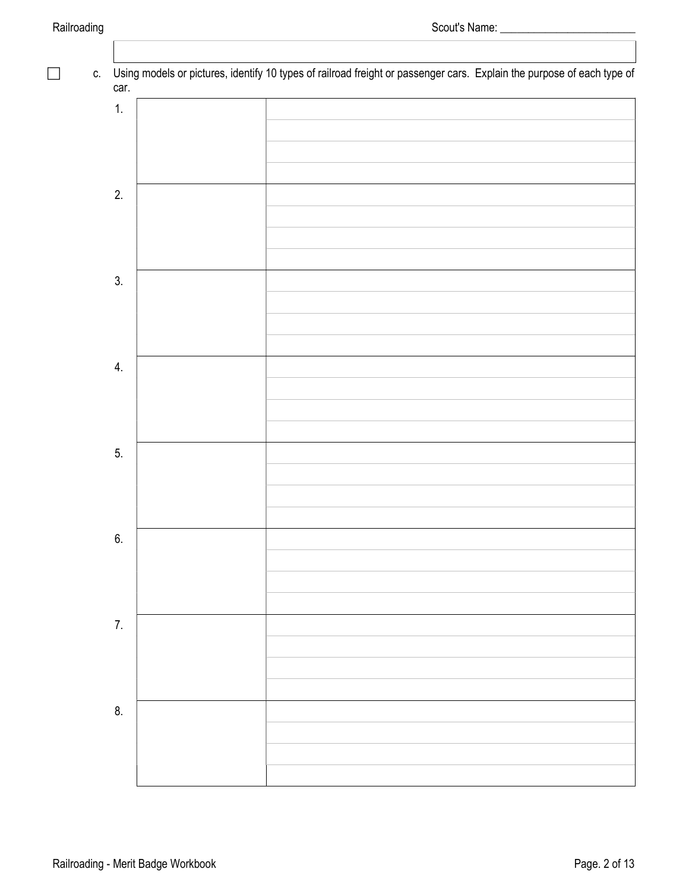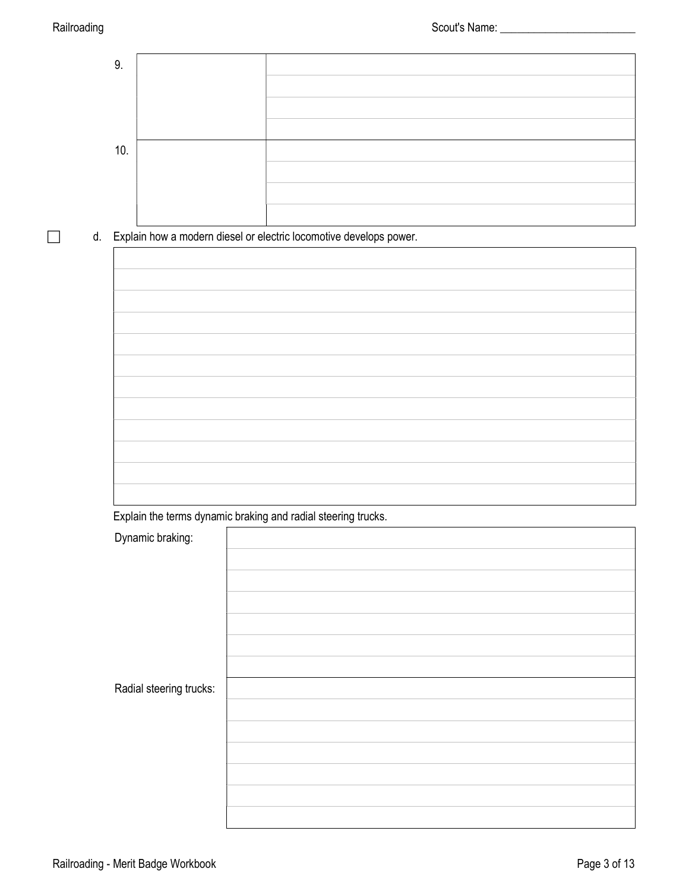

d. Explain how a modern diesel or electric locomotive develops power.

Explain the terms dynamic braking and radial steering trucks.

| Dynamic braking:        |  |
|-------------------------|--|
|                         |  |
|                         |  |
|                         |  |
|                         |  |
|                         |  |
|                         |  |
| Radial steering trucks: |  |
|                         |  |
|                         |  |
|                         |  |
|                         |  |
|                         |  |
|                         |  |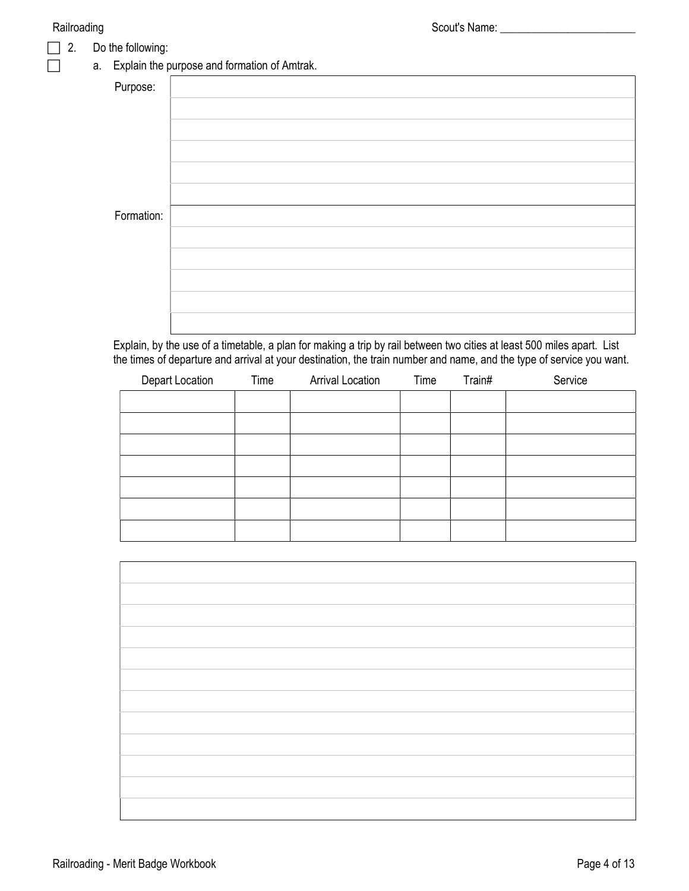#### 2. Do the following:

### **a.** Explain the purpose and formation of Amtrak.

| Purpose:   |  |
|------------|--|
|            |  |
|            |  |
|            |  |
|            |  |
|            |  |
| Formation: |  |
|            |  |
|            |  |
|            |  |
|            |  |
|            |  |
|            |  |

Explain, by the use of a timetable, a plan for making a trip by rail between two cities at least 500 miles apart. List the times of departure and arrival at your destination, the train number and name, and the type of service you want.

| Depart Location | Time | <b>Arrival Location</b> | Time | Train# | Service |
|-----------------|------|-------------------------|------|--------|---------|
|                 |      |                         |      |        |         |
|                 |      |                         |      |        |         |
|                 |      |                         |      |        |         |
|                 |      |                         |      |        |         |
|                 |      |                         |      |        |         |
|                 |      |                         |      |        |         |
|                 |      |                         |      |        |         |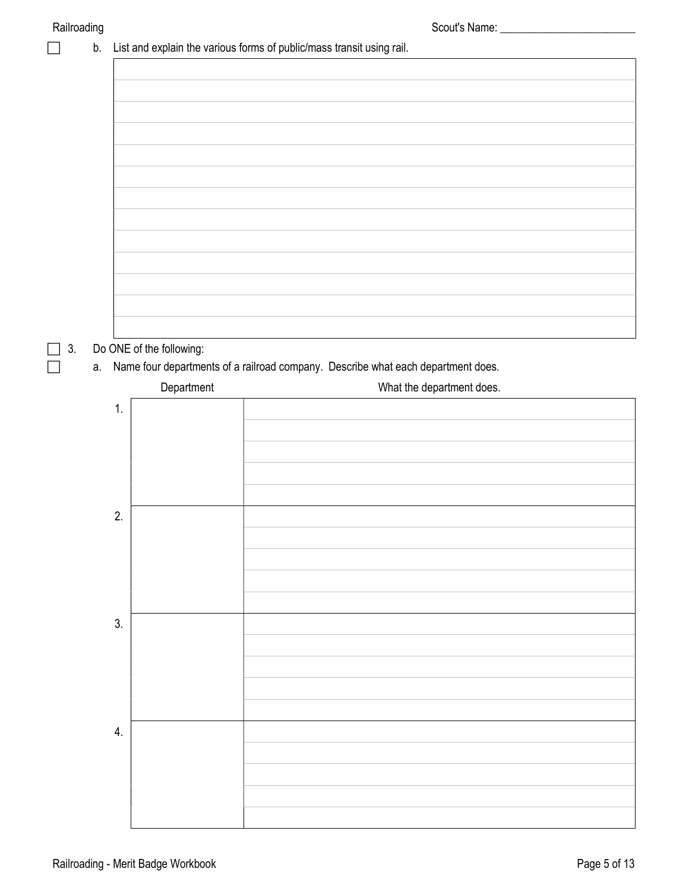|    | ັ<br>b. |                          | List and explain the various forms of public/mass transit using rail.            |
|----|---------|--------------------------|----------------------------------------------------------------------------------|
|    |         |                          |                                                                                  |
|    |         |                          |                                                                                  |
|    |         |                          |                                                                                  |
|    |         |                          |                                                                                  |
|    |         |                          |                                                                                  |
|    |         |                          |                                                                                  |
|    |         |                          |                                                                                  |
|    |         |                          |                                                                                  |
|    |         |                          |                                                                                  |
|    |         |                          |                                                                                  |
|    |         |                          |                                                                                  |
|    |         |                          |                                                                                  |
|    |         |                          |                                                                                  |
| 3. |         | Do ONE of the following: |                                                                                  |
|    | a.      |                          | Name four departments of a railroad company. Describe what each department does. |
|    |         | Department               | What the department does.                                                        |
|    | 1.      |                          |                                                                                  |
|    |         |                          |                                                                                  |
|    |         |                          |                                                                                  |
|    |         |                          |                                                                                  |
|    | 2.      |                          |                                                                                  |
|    |         |                          |                                                                                  |
|    |         |                          |                                                                                  |
|    |         |                          |                                                                                  |
|    |         |                          |                                                                                  |
|    | 3.      |                          |                                                                                  |
|    |         |                          |                                                                                  |
|    |         |                          |                                                                                  |
|    |         |                          |                                                                                  |
|    |         |                          |                                                                                  |
|    | 4.      |                          |                                                                                  |
|    |         |                          |                                                                                  |
|    |         |                          |                                                                                  |
|    |         |                          |                                                                                  |
|    |         |                          |                                                                                  |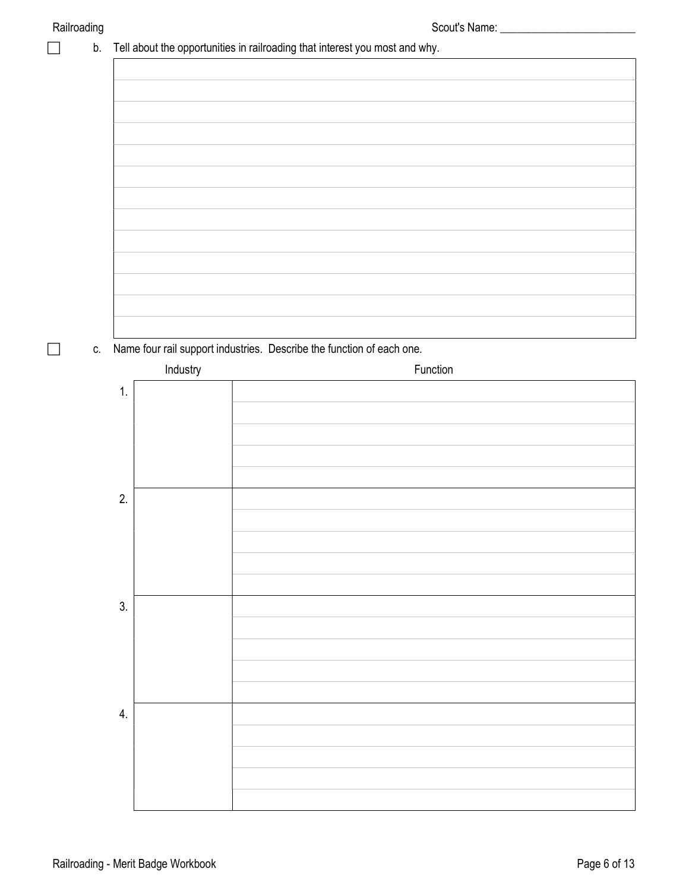|    |          | Tell about the opportunities in railroading that interest you most and why. |          |  |
|----|----------|-----------------------------------------------------------------------------|----------|--|
|    |          |                                                                             |          |  |
|    |          |                                                                             |          |  |
|    |          |                                                                             |          |  |
|    |          |                                                                             |          |  |
|    |          |                                                                             |          |  |
|    |          |                                                                             |          |  |
|    |          |                                                                             |          |  |
|    |          |                                                                             |          |  |
|    |          |                                                                             |          |  |
|    |          |                                                                             |          |  |
|    |          |                                                                             |          |  |
|    |          |                                                                             |          |  |
|    |          |                                                                             |          |  |
|    |          | Name four rail support industries. Describe the function of each one.       |          |  |
|    | Industry |                                                                             | Function |  |
| 1. |          |                                                                             |          |  |
|    |          |                                                                             |          |  |
|    |          |                                                                             |          |  |
|    |          |                                                                             |          |  |
|    |          |                                                                             |          |  |
|    |          |                                                                             |          |  |
| 2. |          |                                                                             |          |  |
|    |          |                                                                             |          |  |
|    |          |                                                                             |          |  |
|    |          |                                                                             |          |  |
|    |          |                                                                             |          |  |
| 3. |          |                                                                             |          |  |
|    |          |                                                                             |          |  |
|    |          |                                                                             |          |  |
|    |          |                                                                             |          |  |
|    |          |                                                                             |          |  |
| 4. |          |                                                                             |          |  |
|    |          |                                                                             |          |  |
|    |          |                                                                             |          |  |
|    |          |                                                                             |          |  |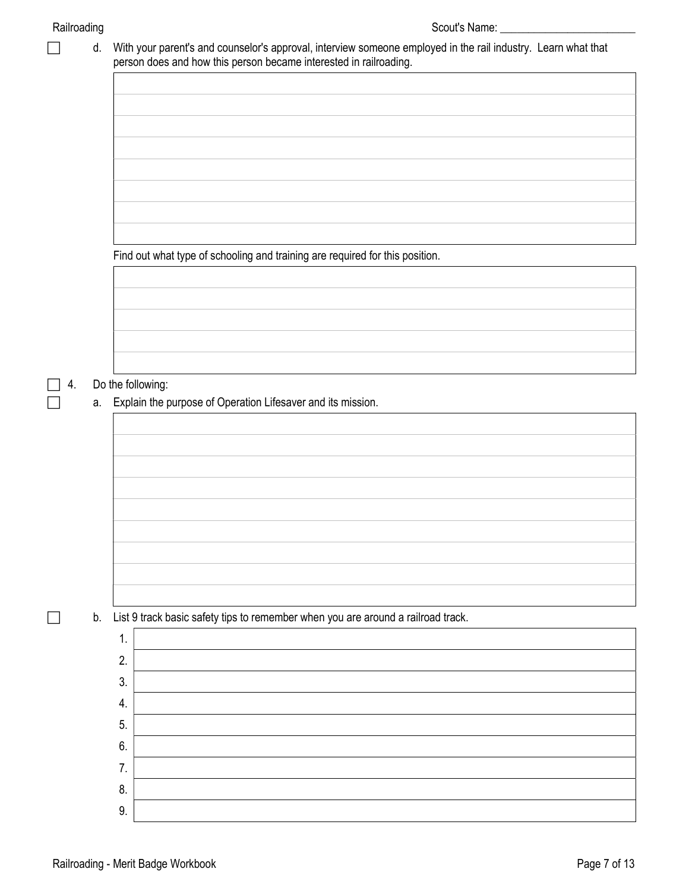|    | d. |    | With your parent's and counselor's approval, interview someone employed in the rail industry. Learn what that<br>person does and how this person became interested in railroading. |
|----|----|----|------------------------------------------------------------------------------------------------------------------------------------------------------------------------------------|
|    |    |    |                                                                                                                                                                                    |
|    |    |    |                                                                                                                                                                                    |
|    |    |    |                                                                                                                                                                                    |
|    |    |    |                                                                                                                                                                                    |
|    |    |    |                                                                                                                                                                                    |
|    |    |    |                                                                                                                                                                                    |
|    |    |    |                                                                                                                                                                                    |
|    |    |    |                                                                                                                                                                                    |
|    |    |    | Find out what type of schooling and training are required for this position.                                                                                                       |
|    |    |    |                                                                                                                                                                                    |
|    |    |    |                                                                                                                                                                                    |
|    |    |    |                                                                                                                                                                                    |
|    |    |    |                                                                                                                                                                                    |
|    |    |    |                                                                                                                                                                                    |
| 4. |    |    | Do the following:                                                                                                                                                                  |
|    |    |    | a. Explain the purpose of Operation Lifesaver and its mission.                                                                                                                     |
|    |    |    |                                                                                                                                                                                    |
|    |    |    |                                                                                                                                                                                    |
|    |    |    |                                                                                                                                                                                    |
|    |    |    |                                                                                                                                                                                    |
|    |    |    |                                                                                                                                                                                    |
|    |    |    |                                                                                                                                                                                    |
|    |    |    |                                                                                                                                                                                    |
|    |    |    |                                                                                                                                                                                    |
|    |    |    |                                                                                                                                                                                    |
|    |    |    |                                                                                                                                                                                    |
|    | b. |    | List 9 track basic safety tips to remember when you are around a railroad track.                                                                                                   |
|    |    | 1. |                                                                                                                                                                                    |
|    |    | 2. |                                                                                                                                                                                    |
|    |    | 3. |                                                                                                                                                                                    |
|    |    | 4. |                                                                                                                                                                                    |
|    |    | 5. |                                                                                                                                                                                    |
|    |    | 6. |                                                                                                                                                                                    |
|    |    | 7. |                                                                                                                                                                                    |
|    |    | 8. |                                                                                                                                                                                    |
|    |    | 9. |                                                                                                                                                                                    |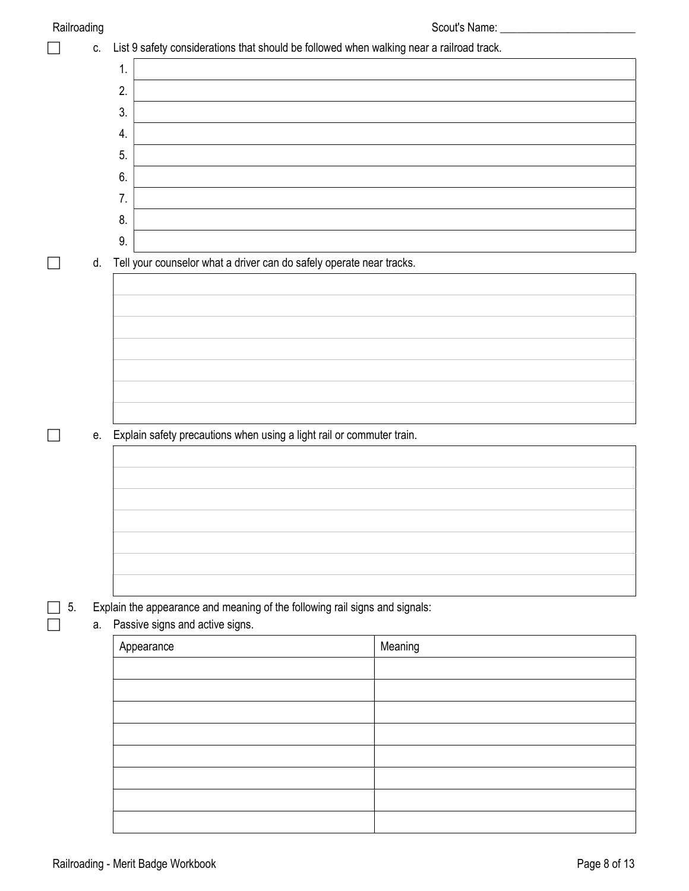|    | ັ<br>C. | List 9 safety considerations that should be followed when walking near a railroad track. |         |
|----|---------|------------------------------------------------------------------------------------------|---------|
|    |         | 1.                                                                                       |         |
|    |         | 2.                                                                                       |         |
|    |         | 3.                                                                                       |         |
|    |         | 4.                                                                                       |         |
|    |         | 5.                                                                                       |         |
|    |         | 6.                                                                                       |         |
|    |         | 7.                                                                                       |         |
|    |         | 8.                                                                                       |         |
|    |         | 9.                                                                                       |         |
|    | d.      | Tell your counselor what a driver can do safely operate near tracks.                     |         |
|    |         |                                                                                          |         |
|    |         |                                                                                          |         |
|    |         |                                                                                          |         |
|    |         |                                                                                          |         |
|    |         |                                                                                          |         |
|    |         |                                                                                          |         |
|    |         |                                                                                          |         |
|    | е.      | Explain safety precautions when using a light rail or commuter train.                    |         |
|    |         |                                                                                          |         |
|    |         |                                                                                          |         |
|    |         |                                                                                          |         |
|    |         |                                                                                          |         |
|    |         |                                                                                          |         |
|    |         |                                                                                          |         |
| 5. |         | Explain the appearance and meaning of the following rail signs and signals:              |         |
|    | а.      | Passive signs and active signs.                                                          |         |
|    |         | Appearance                                                                               | Meaning |
|    |         |                                                                                          |         |
|    |         |                                                                                          |         |
|    |         |                                                                                          |         |
|    |         |                                                                                          |         |
|    |         |                                                                                          |         |
|    |         |                                                                                          |         |
|    |         |                                                                                          |         |
|    |         |                                                                                          |         |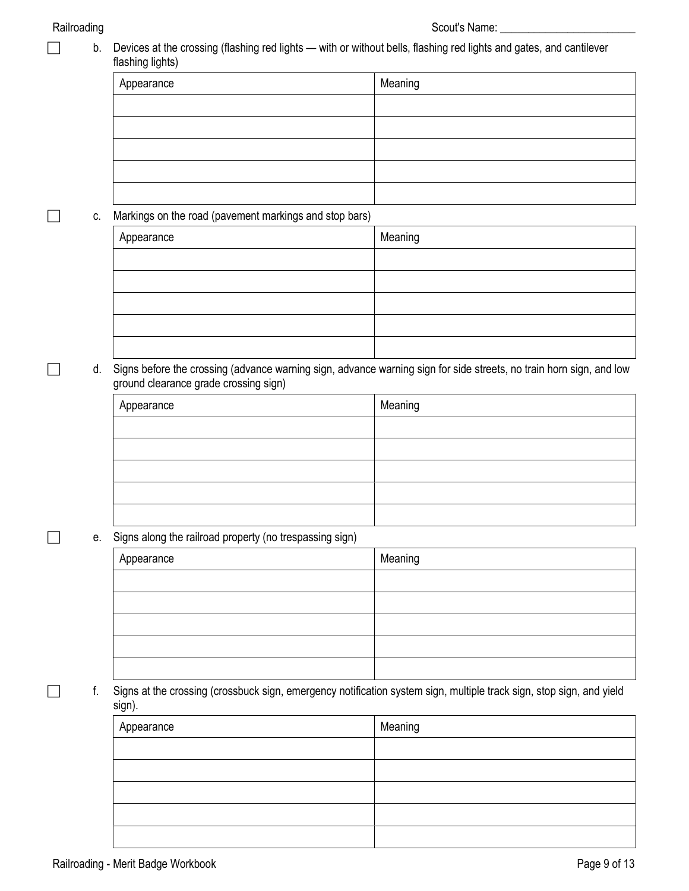□ b. Devices at the crossing (flashing red lights — with or without bells, flashing red lights and gates, and cantilever flashing lights)

| Appearance | Meaning |
|------------|---------|
|            |         |
|            |         |
|            |         |
|            |         |
|            |         |

#### **c.** Markings on the road (pavement markings and stop bars)

| Appearance | Meaning |
|------------|---------|
|            |         |
|            |         |
|            |         |
|            |         |
|            |         |

#### d. Signs before the crossing (advance warning sign, advance warning sign for side streets, no train horn sign, and low ground clearance grade crossing sign)

| Appearance | Meaning |
|------------|---------|
|            |         |
|            |         |
|            |         |
|            |         |
|            |         |

#### e. Signs along the railroad property (no trespassing sign)

| Appearance | Meaning |
|------------|---------|
|            |         |
|            |         |
|            |         |
|            |         |
|            |         |

 f. Signs at the crossing (crossbuck sign, emergency notification system sign, multiple track sign, stop sign, and yield sign).

| Appearance | Meaning |
|------------|---------|
|            |         |
|            |         |
|            |         |
|            |         |
|            |         |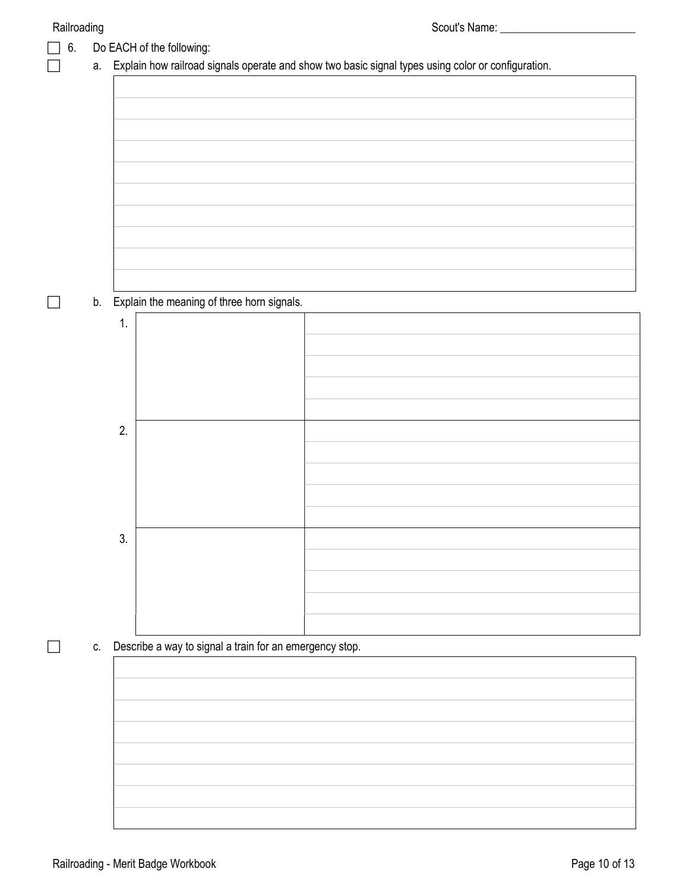| 6. |    |    | Do EACH of the following:                                  |                                                                                                    |
|----|----|----|------------------------------------------------------------|----------------------------------------------------------------------------------------------------|
|    | а. |    |                                                            | Explain how railroad signals operate and show two basic signal types using color or configuration. |
|    |    |    |                                                            |                                                                                                    |
|    |    |    |                                                            |                                                                                                    |
|    |    |    |                                                            |                                                                                                    |
|    |    |    |                                                            |                                                                                                    |
|    |    |    |                                                            |                                                                                                    |
|    |    |    |                                                            |                                                                                                    |
|    |    |    |                                                            |                                                                                                    |
|    |    |    |                                                            |                                                                                                    |
|    |    |    |                                                            |                                                                                                    |
|    |    |    |                                                            |                                                                                                    |
|    |    |    | b. Explain the meaning of three horn signals.              |                                                                                                    |
|    |    | 1. |                                                            |                                                                                                    |
|    |    |    |                                                            |                                                                                                    |
|    |    |    |                                                            |                                                                                                    |
|    |    |    |                                                            |                                                                                                    |
|    |    |    |                                                            |                                                                                                    |
|    |    | 2. |                                                            |                                                                                                    |
|    |    |    |                                                            |                                                                                                    |
|    |    |    |                                                            |                                                                                                    |
|    |    |    |                                                            |                                                                                                    |
|    |    |    |                                                            |                                                                                                    |
|    |    | 3. |                                                            |                                                                                                    |
|    |    |    |                                                            |                                                                                                    |
|    |    |    |                                                            |                                                                                                    |
|    |    |    |                                                            |                                                                                                    |
|    |    |    |                                                            |                                                                                                    |
|    |    |    | c. Describe a way to signal a train for an emergency stop. |                                                                                                    |
|    |    |    |                                                            |                                                                                                    |
|    |    |    |                                                            |                                                                                                    |
|    |    |    |                                                            |                                                                                                    |
|    |    |    |                                                            |                                                                                                    |
|    |    |    |                                                            |                                                                                                    |
|    |    |    |                                                            |                                                                                                    |
|    |    |    |                                                            |                                                                                                    |
|    |    |    |                                                            |                                                                                                    |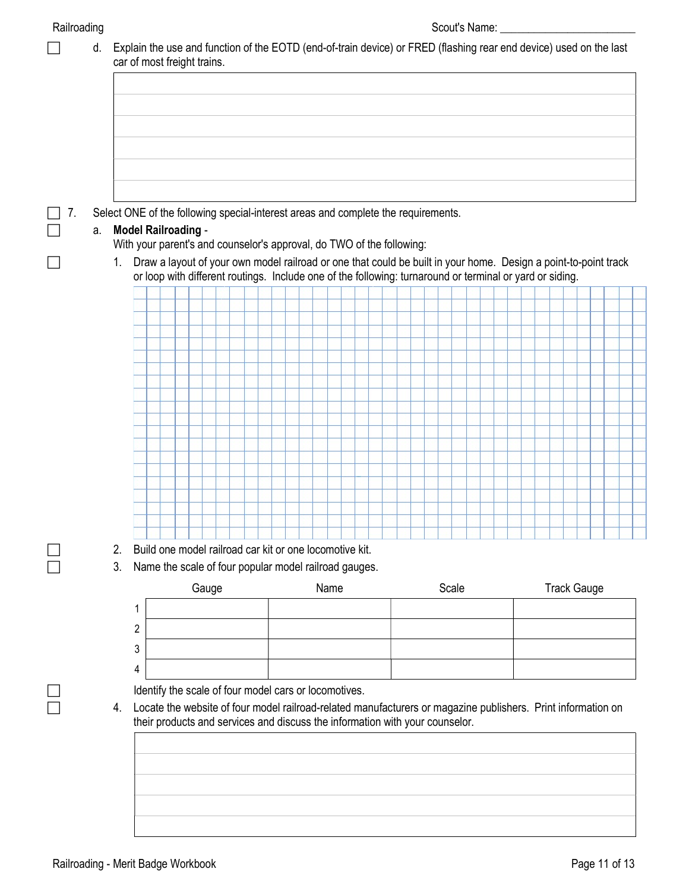|    | Select ONE of the following special-interest areas and complete the requirements. |                                                                                                     |  |  |       |                                                                                                                  |  |  |  |      |  |  |       |  |  |  |  |  |  |  |  |  |  |                    |  |
|----|-----------------------------------------------------------------------------------|-----------------------------------------------------------------------------------------------------|--|--|-------|------------------------------------------------------------------------------------------------------------------|--|--|--|------|--|--|-------|--|--|--|--|--|--|--|--|--|--|--------------------|--|
| а. |                                                                                   | <b>Model Railroading -</b><br>With your parent's and counselor's approval, do TWO of the following: |  |  |       |                                                                                                                  |  |  |  |      |  |  |       |  |  |  |  |  |  |  |  |  |  |                    |  |
|    | $1_{-}$                                                                           |                                                                                                     |  |  |       | Draw a layout of your own model railroad or one that could be built in your home. Design a point-to-point track  |  |  |  |      |  |  |       |  |  |  |  |  |  |  |  |  |  |                    |  |
|    |                                                                                   |                                                                                                     |  |  |       | or loop with different routings. Include one of the following: turnaround or terminal or yard or siding.         |  |  |  |      |  |  |       |  |  |  |  |  |  |  |  |  |  |                    |  |
|    |                                                                                   |                                                                                                     |  |  |       |                                                                                                                  |  |  |  |      |  |  |       |  |  |  |  |  |  |  |  |  |  |                    |  |
|    |                                                                                   |                                                                                                     |  |  |       |                                                                                                                  |  |  |  |      |  |  |       |  |  |  |  |  |  |  |  |  |  |                    |  |
|    |                                                                                   |                                                                                                     |  |  |       |                                                                                                                  |  |  |  |      |  |  |       |  |  |  |  |  |  |  |  |  |  |                    |  |
|    |                                                                                   |                                                                                                     |  |  |       |                                                                                                                  |  |  |  |      |  |  |       |  |  |  |  |  |  |  |  |  |  |                    |  |
|    |                                                                                   |                                                                                                     |  |  |       |                                                                                                                  |  |  |  |      |  |  |       |  |  |  |  |  |  |  |  |  |  |                    |  |
|    |                                                                                   |                                                                                                     |  |  |       |                                                                                                                  |  |  |  |      |  |  |       |  |  |  |  |  |  |  |  |  |  |                    |  |
|    |                                                                                   |                                                                                                     |  |  |       |                                                                                                                  |  |  |  |      |  |  |       |  |  |  |  |  |  |  |  |  |  |                    |  |
|    |                                                                                   |                                                                                                     |  |  |       |                                                                                                                  |  |  |  |      |  |  |       |  |  |  |  |  |  |  |  |  |  |                    |  |
|    |                                                                                   |                                                                                                     |  |  |       |                                                                                                                  |  |  |  |      |  |  |       |  |  |  |  |  |  |  |  |  |  |                    |  |
|    |                                                                                   |                                                                                                     |  |  |       |                                                                                                                  |  |  |  |      |  |  |       |  |  |  |  |  |  |  |  |  |  |                    |  |
|    |                                                                                   |                                                                                                     |  |  |       |                                                                                                                  |  |  |  |      |  |  |       |  |  |  |  |  |  |  |  |  |  |                    |  |
|    |                                                                                   |                                                                                                     |  |  |       |                                                                                                                  |  |  |  |      |  |  |       |  |  |  |  |  |  |  |  |  |  |                    |  |
|    |                                                                                   |                                                                                                     |  |  |       |                                                                                                                  |  |  |  |      |  |  |       |  |  |  |  |  |  |  |  |  |  |                    |  |
|    | 2.<br>3.                                                                          |                                                                                                     |  |  |       | Build one model railroad car kit or one locomotive kit.<br>Name the scale of four popular model railroad gauges. |  |  |  |      |  |  |       |  |  |  |  |  |  |  |  |  |  |                    |  |
|    |                                                                                   |                                                                                                     |  |  | Gauge |                                                                                                                  |  |  |  | Name |  |  |       |  |  |  |  |  |  |  |  |  |  | <b>Track Gauge</b> |  |
|    |                                                                                   |                                                                                                     |  |  |       |                                                                                                                  |  |  |  |      |  |  | Scale |  |  |  |  |  |  |  |  |  |  |                    |  |
|    |                                                                                   | 2                                                                                                   |  |  |       |                                                                                                                  |  |  |  |      |  |  |       |  |  |  |  |  |  |  |  |  |  |                    |  |
|    |                                                                                   | 3                                                                                                   |  |  |       |                                                                                                                  |  |  |  |      |  |  |       |  |  |  |  |  |  |  |  |  |  |                    |  |
|    |                                                                                   |                                                                                                     |  |  |       |                                                                                                                  |  |  |  |      |  |  |       |  |  |  |  |  |  |  |  |  |  |                    |  |
|    |                                                                                   | 4                                                                                                   |  |  |       |                                                                                                                  |  |  |  |      |  |  |       |  |  |  |  |  |  |  |  |  |  |                    |  |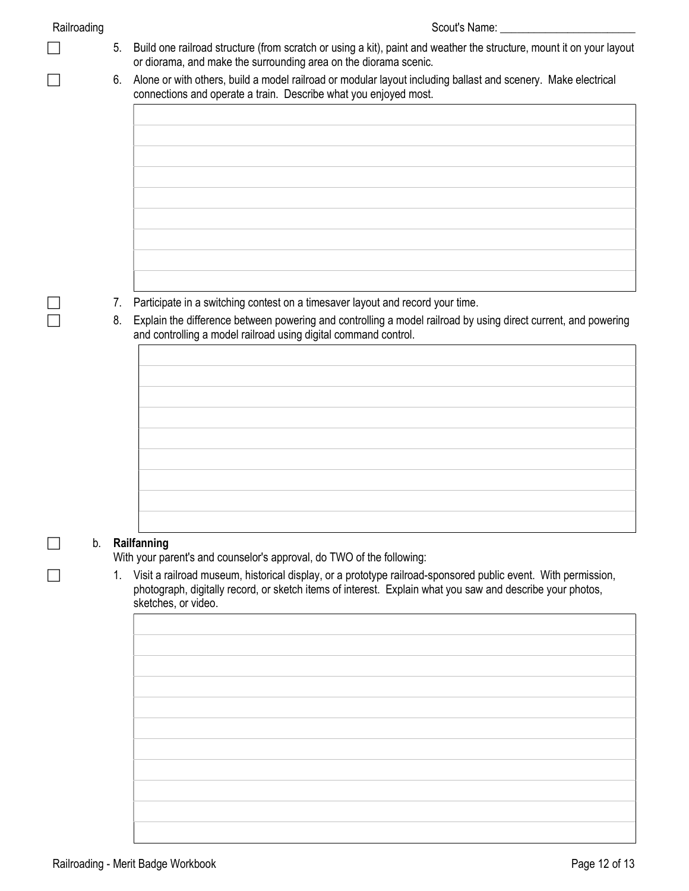| Railroading |
|-------------|
|             |

- $\Box$  5. Build one railroad structure (from scratch or using a kit), paint and weather the structure, mount it on your layout or diorama, and make the surrounding area on the diorama scenic.
- 6. Alone or with others, build a model railroad or modular layout including ballast and scenery. Make electrical connections and operate a train. Describe what you enjoyed most.

- 7. Participate in a switching contest on a timesaver layout and record your time.
- 8. Explain the difference between powering and controlling a model railroad by using direct current, and powering and controlling a model railroad using digital command control.

|  |  | Railfanning |
|--|--|-------------|
|--|--|-------------|

With your parent's and counselor's approval, do TWO of the following:

1. Visit a railroad museum, historical display, or a prototype railroad-sponsored public event. With permission, photograph, digitally record, or sketch items of interest. Explain what you saw and describe your photos, sketches, or video.